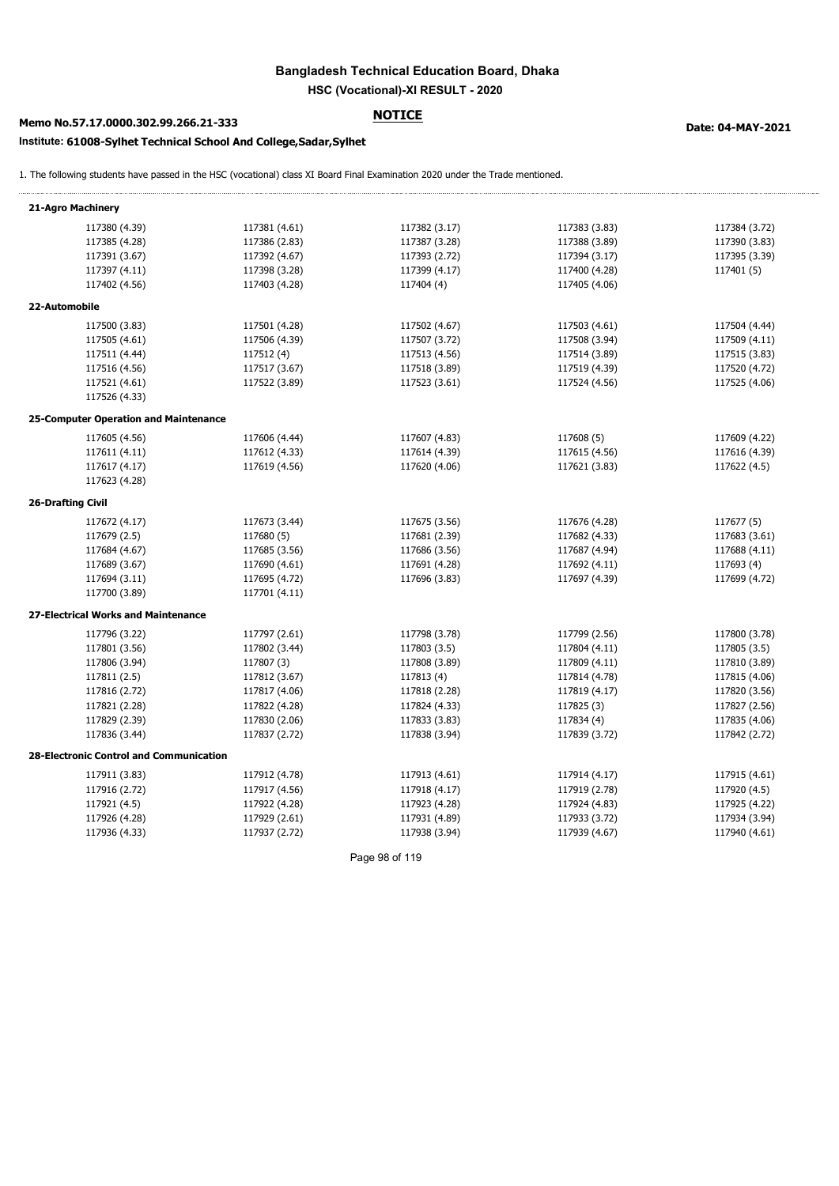# Bangladesh Technical Education Board, Dhaka

## Memo No.57.17.0000.302.99.266.21-333 NOTICE MOTICE Date: 04-MAY-2021

### Institute: 61008-Sylhet Technical School And College,Sadar,Sylhet

| Memo No.57.17.0000.302.99.266.21-333                               |               |                                                                                                                             |               |               |
|--------------------------------------------------------------------|---------------|-----------------------------------------------------------------------------------------------------------------------------|---------------|---------------|
| nstitute: 61008-Sylhet Technical School And College, Sadar, Sylhet |               | Date: 04-MAY-2021                                                                                                           |               |               |
|                                                                    |               | The following students have passed in the HSC (vocational) class XI Board Final Examination 2020 under the Trade mentioned. |               |               |
| 21-Agro Machinery                                                  |               |                                                                                                                             |               |               |
| 117380 (4.39)                                                      | 117381 (4.61) | 117382 (3.17)                                                                                                               | 117383 (3.83) | 117384 (3.72) |
| 117385 (4.28)                                                      | 117386 (2.83) | 117387 (3.28)                                                                                                               | 117388 (3.89) | 117390 (3.83) |
| 117391 (3.67)                                                      | 117392 (4.67) | 117393 (2.72)                                                                                                               | 117394 (3.17) | 117395 (3.39) |
| 117397 (4.11)                                                      | 117398 (3.28) | 117399 (4.17)                                                                                                               | 117400 (4.28) | 117401(5)     |
| 117402 (4.56)                                                      | 117403 (4.28) | 117404 (4)                                                                                                                  | 117405 (4.06) |               |
| 22-Automobile                                                      |               |                                                                                                                             |               |               |
| 117500 (3.83)                                                      | 117501 (4.28) | 117502 (4.67)                                                                                                               | 117503 (4.61) | 117504 (4.44) |
| 117505 (4.61)                                                      | 117506 (4.39) | 117507 (3.72)                                                                                                               | 117508 (3.94) | 117509 (4.11) |
| 117511 (4.44)                                                      | 117512 (4)    | 117513 (4.56)                                                                                                               | 117514 (3.89) | 117515 (3.83) |
| 117516 (4.56)                                                      | 117517 (3.67) | 117518 (3.89)                                                                                                               | 117519 (4.39) | 117520 (4.72) |
| 117521 (4.61)                                                      | 117522 (3.89) | 117523 (3.61)                                                                                                               | 117524 (4.56) | 117525 (4.06) |
| 117526 (4.33)<br>25-Computer Operation and Maintenance             |               |                                                                                                                             |               |               |
| 117605 (4.56)                                                      | 117606 (4.44) | 117607 (4.83)                                                                                                               | 117608 (5)    | 117609 (4.22) |
| 117611 (4.11)                                                      | 117612 (4.33) | 117614 (4.39)                                                                                                               | 117615 (4.56) | 117616 (4.39) |
| 117617 (4.17)<br>117623 (4.28)                                     | 117619 (4.56) | 117620 (4.06)                                                                                                               | 117621 (3.83) | 117622 (4.5)  |
| 26-Drafting Civil                                                  |               |                                                                                                                             |               |               |
| 117672 (4.17)                                                      | 117673 (3.44) | 117675 (3.56)                                                                                                               | 117676 (4.28) | 117677 (5)    |
| 117679 (2.5)                                                       | 117680 (5)    | 117681 (2.39)                                                                                                               | 117682 (4.33) | 117683 (3.61) |
| 117684 (4.67)                                                      | 117685 (3.56) | 117686 (3.56)                                                                                                               | 117687 (4.94) | 117688 (4.11) |
| 117689 (3.67)                                                      | 117690 (4.61) | 117691 (4.28)                                                                                                               | 117692 (4.11) | 117693 (4)    |
| 117694 (3.11)                                                      | 117695 (4.72) | 117696 (3.83)                                                                                                               | 117697 (4.39) | 117699 (4.72) |
| 117700 (3.89)                                                      | 117701 (4.11) |                                                                                                                             |               |               |
| 27-Electrical Works and Maintenance                                |               |                                                                                                                             |               |               |
| 117796 (3.22)                                                      | 117797 (2.61) | 117798 (3.78)                                                                                                               | 117799 (2.56) | 117800 (3.78) |
| 117801 (3.56)                                                      | 117802 (3.44) | 117803 (3.5)                                                                                                                | 117804 (4.11) | 117805 (3.5)  |
| 117806 (3.94)                                                      | 117807 (3)    | 117808 (3.89)                                                                                                               | 117809 (4.11) | 117810 (3.89) |
| 117811 (2.5)                                                       | 117812 (3.67) | 117813 (4)                                                                                                                  | 117814 (4.78) | 117815 (4.06) |
| 117816 (2.72)                                                      | 117817 (4.06) | 117818 (2.28)                                                                                                               | 117819 (4.17) | 117820 (3.56) |
| 117821 (2.28)                                                      | 117822 (4.28) | 117824 (4.33)                                                                                                               | 117825 (3)    | 117827 (2.56) |
| 117829 (2.39)                                                      | 117830 (2.06) | 117833 (3.83)                                                                                                               | 117834 (4)    | 117835 (4.06) |
| 117836 (3.44)                                                      | 117837 (2.72) | 117838 (3.94)                                                                                                               | 117839 (3.72) | 117842 (2.72) |
| 28-Electronic Control and Communication                            |               |                                                                                                                             |               |               |
| 117911 (3.83)                                                      | 117912 (4.78) | 117913 (4.61)                                                                                                               | 117914 (4.17) | 117915 (4.61) |
| 117916 (2.72)                                                      | 117917 (4.56) | 117918 (4.17)                                                                                                               | 117919 (2.78) | 117920 (4.5)  |
| 117921 (4.5)                                                       | 117922 (4.28) | 117923 (4.28)                                                                                                               | 117924 (4.83) | 117925 (4.22) |
| 117926 (4.28)                                                      | 117929 (2.61) | 117931 (4.89)                                                                                                               | 117933 (3.72) | 117934 (3.94) |
| 117936 (4.33)                                                      | 117937 (2.72) | 117938 (3.94)                                                                                                               | 117939 (4.67) | 117940 (4.61) |
|                                                                    |               |                                                                                                                             |               |               |
|                                                                    |               | Page 98 of 119                                                                                                              |               |               |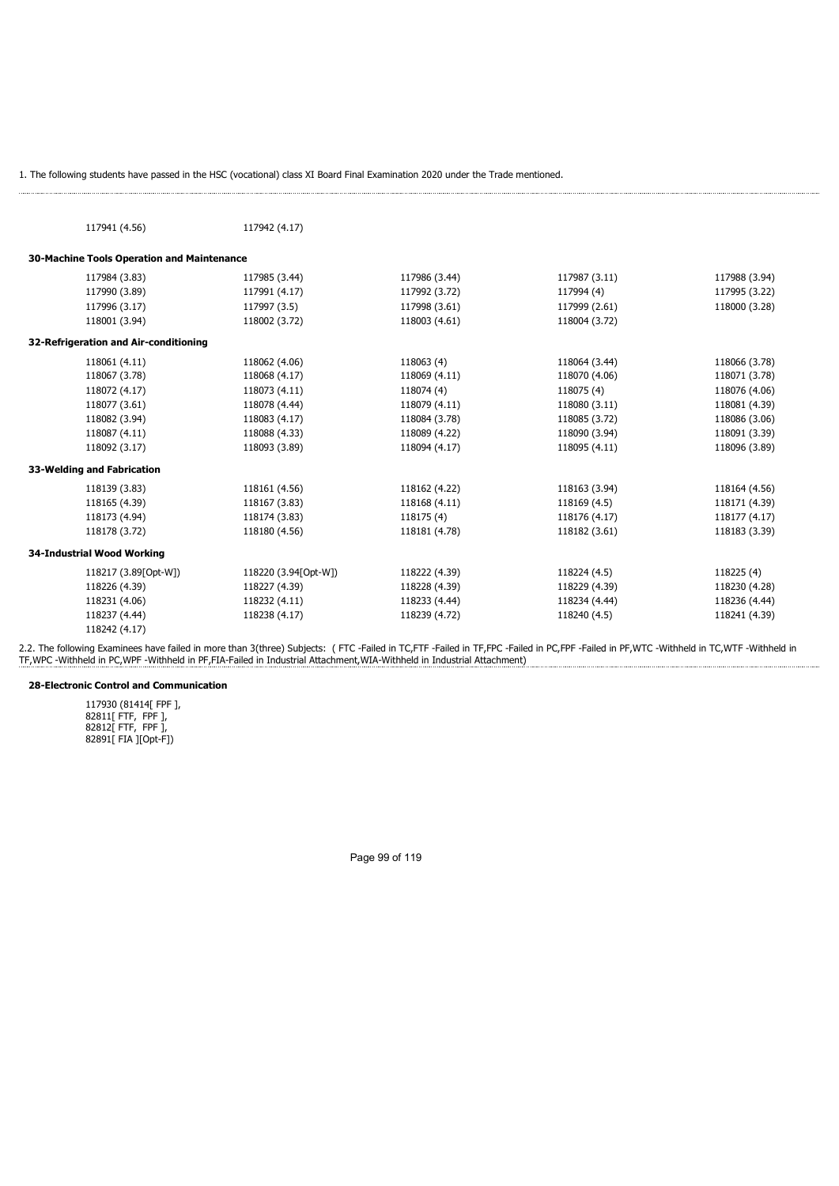|                                             | . The following students have passed in the HSC (vocational) class XI Board Final Examination 2020 under the Trade mentioned.                                                         |                                |                               |                                |
|---------------------------------------------|---------------------------------------------------------------------------------------------------------------------------------------------------------------------------------------|--------------------------------|-------------------------------|--------------------------------|
|                                             |                                                                                                                                                                                       |                                |                               |                                |
|                                             |                                                                                                                                                                                       |                                |                               |                                |
| 117941 (4.56)                               | 117942 (4.17)                                                                                                                                                                         |                                |                               |                                |
|                                             |                                                                                                                                                                                       |                                |                               |                                |
| 30-Machine Tools Operation and Maintenance  |                                                                                                                                                                                       |                                |                               |                                |
| 117984 (3.83)                               | 117985 (3.44)                                                                                                                                                                         | 117986 (3.44)                  | 117987 (3.11)                 | 117988 (3.94)                  |
| 117990 (3.89)                               | 117991 (4.17)                                                                                                                                                                         | 117992 (3.72)                  | 117994 (4)                    | 117995 (3.22)                  |
| 117996 (3.17)                               | 117997 (3.5)                                                                                                                                                                          | 117998 (3.61)                  | 117999 (2.61)                 | 118000 (3.28)                  |
| 118001 (3.94)                               | 118002 (3.72)                                                                                                                                                                         | 118003 (4.61)                  | 118004 (3.72)                 |                                |
| 32-Refrigeration and Air-conditioning       |                                                                                                                                                                                       |                                |                               |                                |
| 118061 (4.11)                               | 118062 (4.06)                                                                                                                                                                         | 118063 (4)                     | 118064 (3.44)                 | 118066 (3.78)                  |
| 118067 (3.78)                               | 118068 (4.17)                                                                                                                                                                         | 118069 (4.11)                  | 118070 (4.06)                 | 118071 (3.78)                  |
| 118072 (4.17)                               | 118073 (4.11)                                                                                                                                                                         | 118074 (4)                     | 118075 (4)                    | 118076 (4.06)                  |
| 118077 (3.61)                               | 118078 (4.44)                                                                                                                                                                         | 118079 (4.11)                  | 118080 (3.11)                 | 118081 (4.39)                  |
| 118082 (3.94)                               | 118083 (4.17)                                                                                                                                                                         | 118084 (3.78)                  | 118085 (3.72)                 | 118086 (3.06)                  |
| 118087 (4.11)                               | 118088 (4.33)                                                                                                                                                                         | 118089 (4.22)                  | 118090 (3.94)                 | 118091 (3.39)                  |
| 118092 (3.17)                               | 118093 (3.89)                                                                                                                                                                         | 118094 (4.17)                  | 118095 (4.11)                 | 118096 (3.89)                  |
| 33-Welding and Fabrication                  |                                                                                                                                                                                       |                                |                               |                                |
|                                             |                                                                                                                                                                                       |                                |                               |                                |
| 118139 (3.83)<br>118165 (4.39)              | 118161 (4.56)<br>118167 (3.83)                                                                                                                                                        | 118162 (4.22)<br>118168 (4.11) | 118163 (3.94)<br>118169 (4.5) | 118164 (4.56)<br>118171 (4.39) |
| 118173 (4.94)                               | 118174 (3.83)                                                                                                                                                                         | 118175 (4)                     | 118176 (4.17)                 | 118177 (4.17)                  |
| 118178 (3.72)                               | 118180 (4.56)                                                                                                                                                                         | 118181 (4.78)                  | 118182 (3.61)                 | 118183 (3.39)                  |
|                                             |                                                                                                                                                                                       |                                |                               |                                |
| 34-Industrial Wood Working                  |                                                                                                                                                                                       |                                |                               |                                |
| 118217 (3.89[Opt-W])                        | 118220 (3.94[Opt-W])                                                                                                                                                                  | 118222 (4.39)                  | 118224 (4.5)                  | 118225 (4)                     |
| 118226 (4.39)                               | 118227 (4.39)                                                                                                                                                                         | 118228 (4.39)                  | 118229 (4.39)                 | 118230 (4.28)                  |
| 118231 (4.06)                               | 118232 (4.11)                                                                                                                                                                         | 118233 (4.44)                  | 118234 (4.44)                 | 118236 (4.44)                  |
| 118237 (4.44)                               | 118238 (4.17)                                                                                                                                                                         | 118239 (4.72)                  | 118240 (4.5)                  | 118241 (4.39)                  |
| 118242 (4.17)                               |                                                                                                                                                                                       |                                |                               |                                |
|                                             | .2. The following Examinees have failed in more than 3(three) Subjects: (FTC -Failed in TC,FTF -Failed in TF,FPC -Failed in PC,FPF -Failed in PF,WTC -Withheld in TC,WTF -Withheld in |                                |                               |                                |
|                                             | F,WPC -Withheld in PC,WPF -Withheld in PF,FIA-Failed in Industrial Attachment,WIA-Withheld in Industrial Attachment)                                                                  |                                |                               |                                |
| 28-Electronic Control and Communication     |                                                                                                                                                                                       |                                |                               |                                |
|                                             |                                                                                                                                                                                       |                                |                               |                                |
| 117930 (81414[ FPF ],<br>82811[ FTF, FPF ], |                                                                                                                                                                                       |                                |                               |                                |
| 82812[ FTF, FPF ],                          |                                                                                                                                                                                       |                                |                               |                                |
| 82891[ FIA ][Opt-F])                        |                                                                                                                                                                                       |                                |                               |                                |
|                                             |                                                                                                                                                                                       |                                |                               |                                |
|                                             |                                                                                                                                                                                       |                                |                               |                                |
|                                             |                                                                                                                                                                                       |                                |                               |                                |
|                                             |                                                                                                                                                                                       |                                |                               |                                |
|                                             |                                                                                                                                                                                       |                                |                               |                                |
|                                             |                                                                                                                                                                                       |                                |                               |                                |
|                                             |                                                                                                                                                                                       | Page 99 of 119                 |                               |                                |
|                                             |                                                                                                                                                                                       |                                |                               |                                |
|                                             |                                                                                                                                                                                       |                                |                               |                                |
|                                             |                                                                                                                                                                                       |                                |                               |                                |
|                                             |                                                                                                                                                                                       |                                |                               |                                |
|                                             |                                                                                                                                                                                       |                                |                               |                                |
|                                             |                                                                                                                                                                                       |                                |                               |                                |

### 28-Electronic Control and Communication